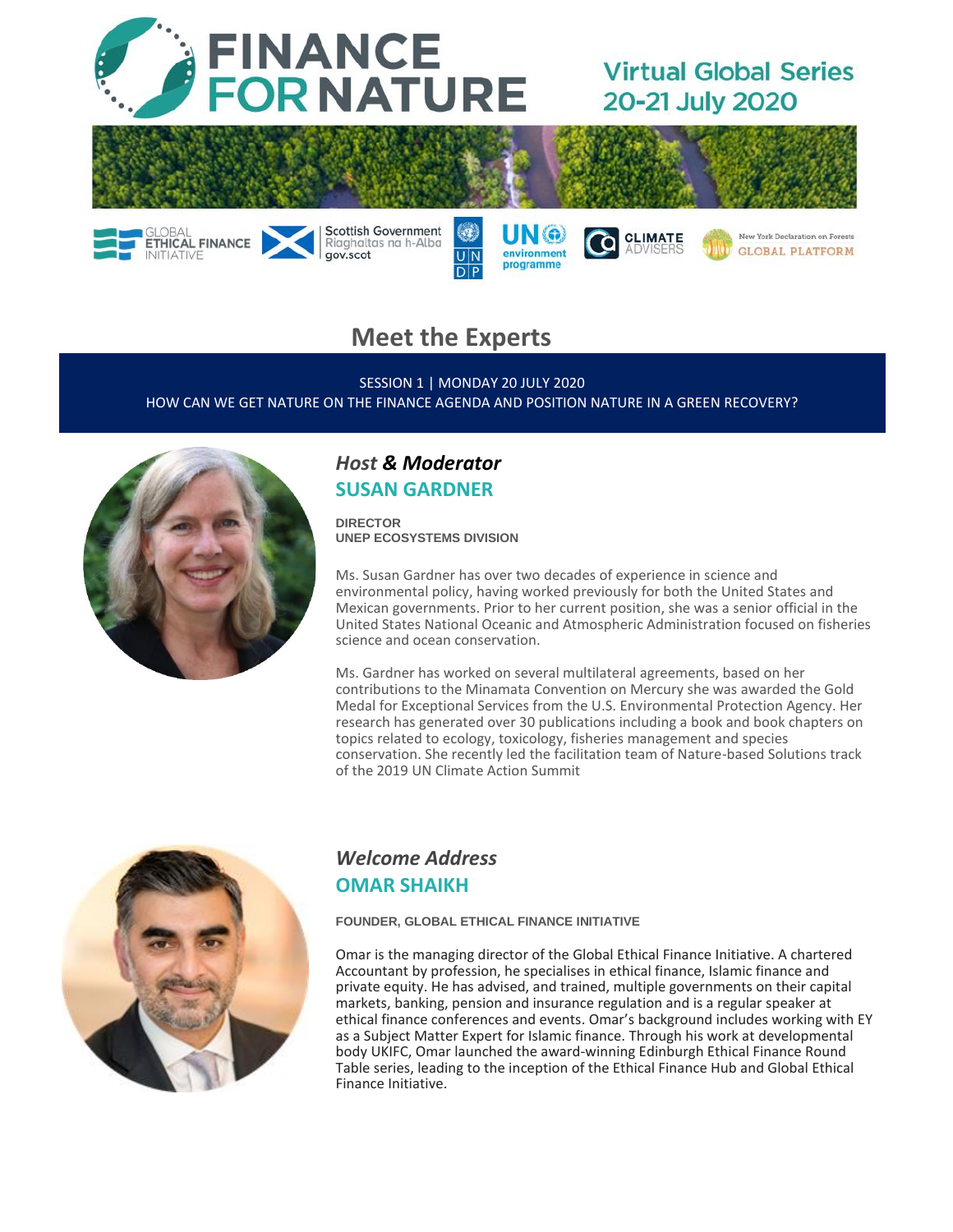

# **Virtual Global Series** 20-21 July 2020

**GLOBAL PLATFORM** 



 $U|N$ 

 $D$  $P$ 

environment

programme



SESSION 1 | MONDAY 20 JULY 2020 HOW CAN WE GET NATURE ON THE FINANCE AGENDA AND POSITION NATURE IN A GREEN RECOVERY?



ETHICAL FINANCE

# *Host & Moderator*  **SUSAN GARDNER**

Riaghaltas na h-Alba

gov.scot

**DIRECTOR UNEP ECOSYSTEMS DIVISION**

Ms. Susan Gardner has over two decades of experience in science and environmental policy, having worked previously for both the United States and Mexican governments. Prior to her current position, she was a senior official in the United States National Oceanic and Atmospheric Administration focused on fisheries science and ocean conservation.

Ms. Gardner has worked on several multilateral agreements, based on her contributions to the Minamata Convention on Mercury she was awarded the Gold Medal for Exceptional Services from the U.S. Environmental Protection Agency. Her research has generated over 30 publications including a book and book chapters on topics related to ecology, toxicology, fisheries management and species conservation. She recently led the facilitation team of Nature-based Solutions track of the 2019 UN Climate Action Summit



## *Welcome Address* **OMAR SHAIKH**

**FOUNDER, GLOBAL ETHICAL FINANCE INITIATIVE**

Omar is the managing director of the Global Ethical Finance Initiative. A chartered Accountant by profession, he specialises in ethical finance, Islamic finance and private equity. He has advised, and trained, multiple governments on their capital markets, banking, pension and insurance regulation and is a regular speaker at ethical finance conferences and events. Omar's background includes working with EY as a Subject Matter Expert for Islamic finance. Through his work at developmental body UKIFC, Omar launched the award-winning Edinburgh Ethical Finance Round Table series, leading to the inception of the Ethical Finance Hub and Global Ethical Finance Initiative.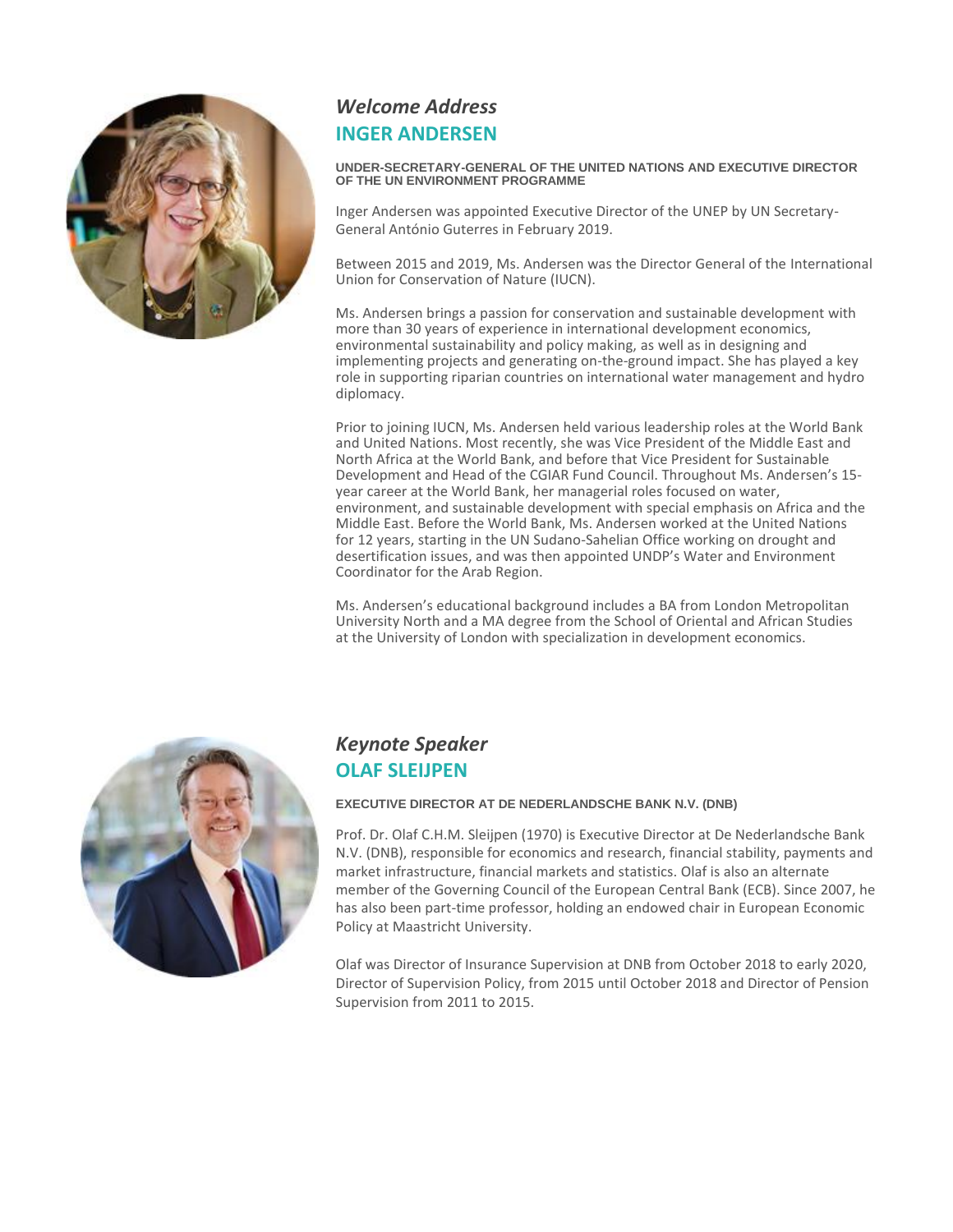

# *Welcome Address*  **INGER ANDERSEN**

#### **UNDER-SECRETARY-GENERAL OF THE UNITED NATIONS AND EXECUTIVE DIRECTOR OF THE UN ENVIRONMENT PROGRAMME**

Inger Andersen was appointed Executive Director of the UNEP by UN Secretary-General António Guterres in February 2019.

Between 2015 and 2019, Ms. Andersen was the Director General of the International Union for Conservation of Nature (IUCN).

Ms. Andersen brings a passion for conservation and sustainable development with more than 30 years of experience in international development economics, environmental sustainability and policy making, as well as in designing and implementing projects and generating on-the-ground impact. She has played a key role in supporting riparian countries on international water management and hydro diplomacy.

Prior to joining IUCN, Ms. Andersen held various leadership roles at the World Bank and United Nations. Most recently, she was Vice President of the Middle East and North Africa at the World Bank, and before that Vice President for Sustainable Development and Head of the CGIAR Fund Council. Throughout Ms. Andersen's 15 year career at the World Bank, her managerial roles focused on water, environment, and sustainable development with special emphasis on Africa and the Middle East. Before the World Bank, Ms. Andersen worked at the United Nations for 12 years, starting in the UN Sudano-Sahelian Office working on drought and desertification issues, and was then appointed UNDP's Water and Environment Coordinator for the Arab Region.

Ms. Andersen's educational background includes a BA from London Metropolitan University North and a MA degree from the School of Oriental and African Studies at the University of London with specialization in development economics.



## *Keynote Speaker*  **OLAF SLEIJPEN**

#### **EXECUTIVE DIRECTOR AT DE NEDERLANDSCHE BANK N.V. (DNB)**

Prof. Dr. Olaf C.H.M. Sleijpen (1970) is Executive Director at De Nederlandsche Bank N.V. (DNB), responsible for economics and research, financial stability, payments and market infrastructure, financial markets and statistics. Olaf is also an alternate member of the Governing Council of the European Central Bank (ECB). Since 2007, he has also been part-time professor, holding an endowed chair in European Economic Policy at Maastricht University.

Olaf was Director of Insurance Supervision at DNB from October 2018 to early 2020, Director of Supervision Policy, from 2015 until October 2018 and Director of Pension Supervision from 2011 to 2015.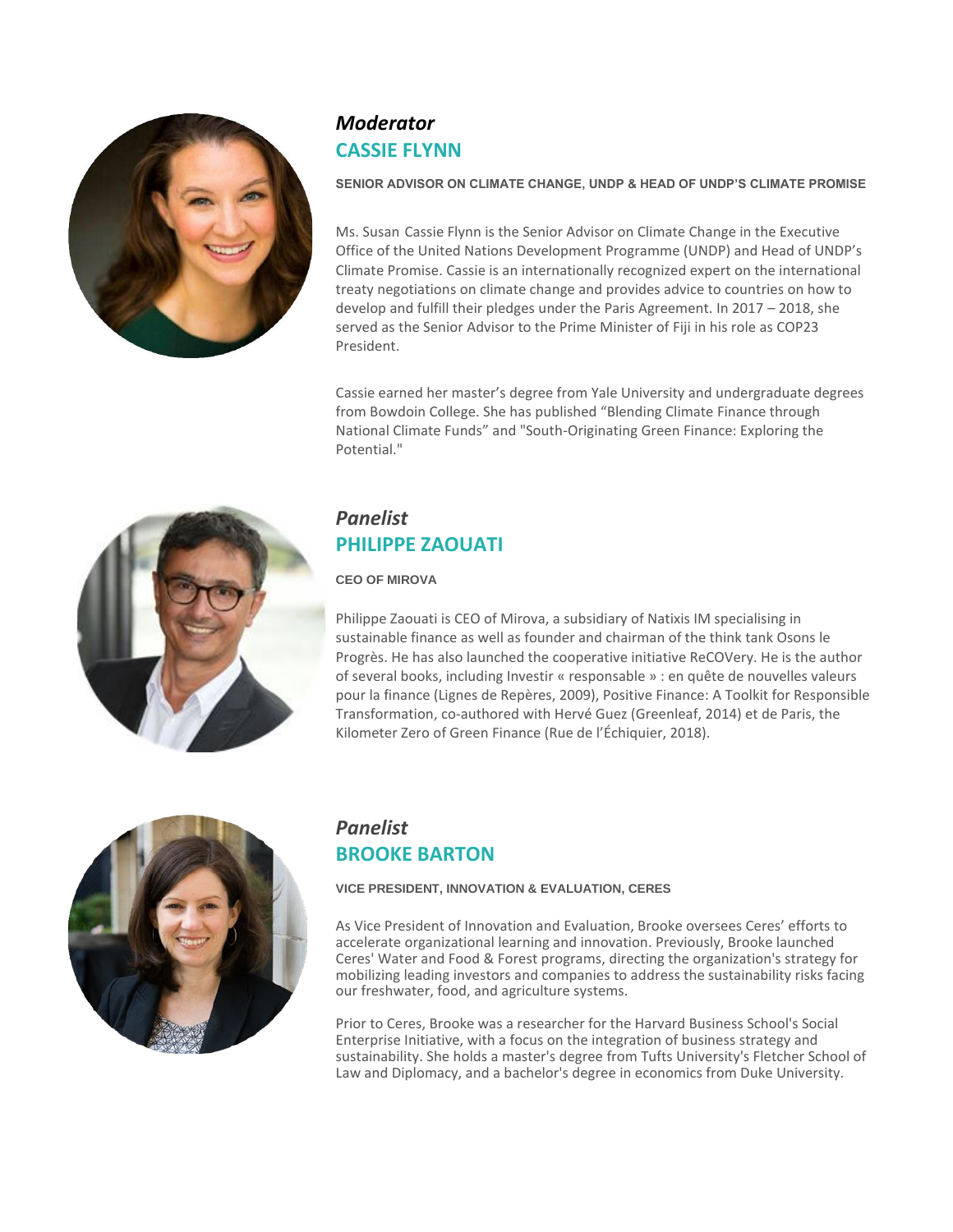

# *Moderator*  **CASSIE FLYNN**

#### **SENIOR ADVISOR ON CLIMATE CHANGE, UNDP & HEAD OF UNDP'S CLIMATE PROMISE**

Ms. Susan Cassie Flynn is the Senior Advisor on Climate Change in the Executive Office of the United Nations Development Programme (UNDP) and Head of UNDP's Climate Promise. Cassie is an internationally recognized expert on the international treaty negotiations on climate change and provides advice to countries on how to develop and fulfill their pledges under the Paris Agreement. In 2017 – 2018, she served as the Senior Advisor to the Prime Minister of Fiji in his role as COP23 President.

Cassie earned her master's degree from Yale University and undergraduate degrees from Bowdoin College. She has published "Blending Climate Finance through National Climate Funds" and "South-Originating Green Finance: Exploring the Potential<sup>"</sup>



# *Panelist*  **PHILIPPE ZAOUATI**

#### **CEO OF MIROVA**

Philippe Zaouati is CEO of Mirova, a subsidiary of Natixis IM specialising in sustainable finance as well as founder and chairman of the think tank Osons le Progrès. He has also launched the cooperative initiative ReCOVery. He is the author of several books, including Investir « responsable » : en quête de nouvelles valeurs pour la finance (Lignes de Repères, 2009), Positive Finance: A Toolkit for Responsible Transformation, co-authored with Hervé Guez (Greenleaf, 2014) et de Paris, the Kilometer Zero of Green Finance (Rue de l'Échiquier, 2018).



## *Panelist*  **BROOKE BARTON**

#### **VICE PRESIDENT, INNOVATION & EVALUATION, CERES**

As Vice President of Innovation and Evaluation, Brooke oversees Ceres' efforts to accelerate organizational learning and innovation. Previously, Brooke launched Ceres' Water and Food & Forest programs, directing the organization's strategy for mobilizing leading investors and companies to address the sustainability risks facing our freshwater, food, and agriculture systems.

Prior to Ceres, Brooke was a researcher for the Harvard Business School's Social Enterprise Initiative, with a focus on the integration of business strategy and sustainability. She holds a master's degree from Tufts University's Fletcher School of Law and Diplomacy, and a bachelor's degree in economics from Duke University.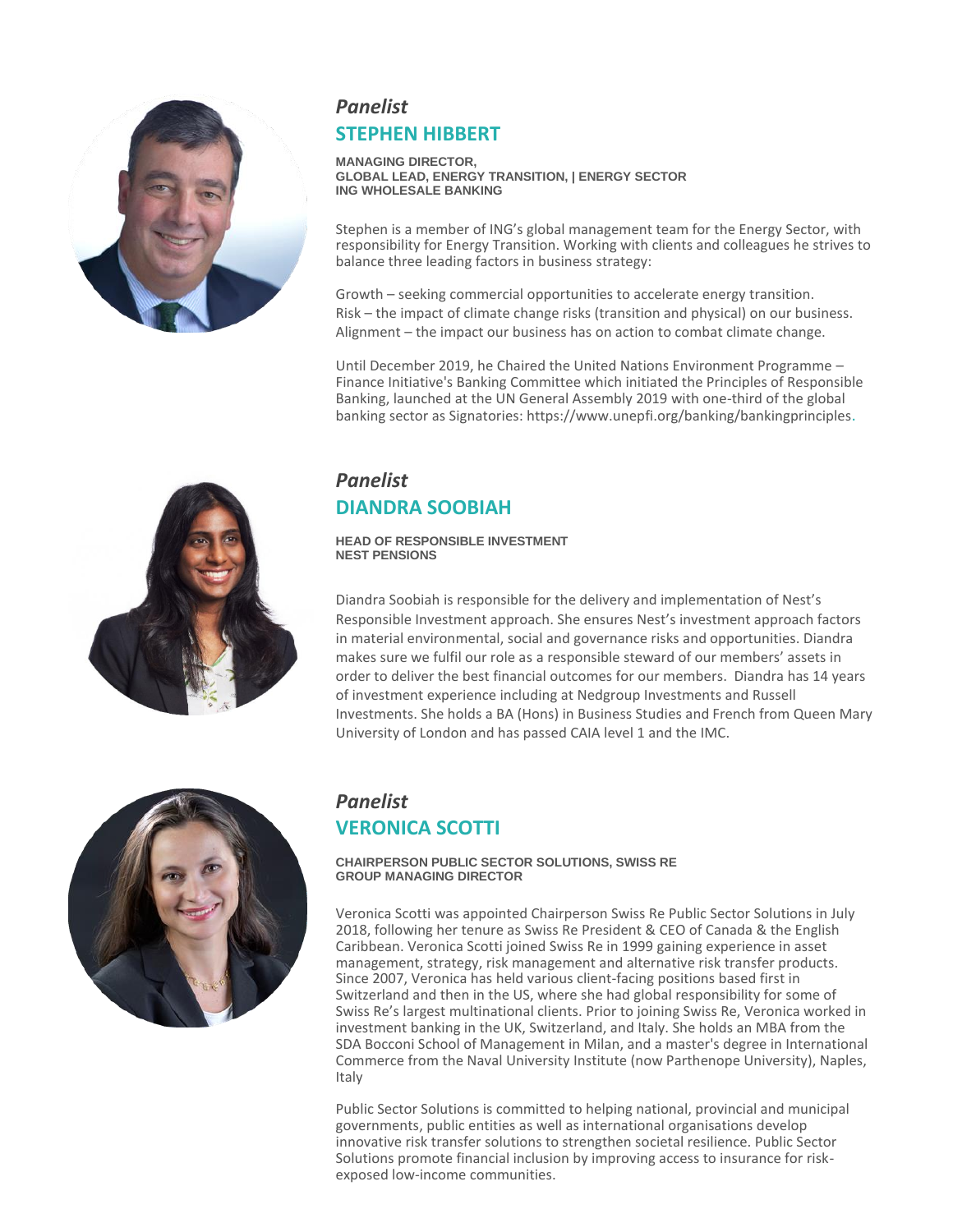

# *Panelist* **STEPHEN HIBBERT**

**MANAGING DIRECTOR, GLOBAL LEAD, ENERGY TRANSITION, | ENERGY SECTOR ING WHOLESALE BANKING**

Stephen is a member of ING's global management team for the Energy Sector, with responsibility for Energy Transition. Working with clients and colleagues he strives to balance three leading factors in business strategy:

Growth – seeking commercial opportunities to accelerate energy transition. Risk – the impact of climate change risks (transition and physical) on our business. Alignment – the impact our business has on action to combat climate change.

Until December 2019, he Chaired the United Nations Environment Programme – Finance Initiative's Banking Committee which initiated the Principles of Responsible Banking, launched at the UN General Assembly 2019 with one-third of the global banking sector as Signatories: https:/[/www.unepfi.org/banking/bankingprinciples](http://www.unepfi.org/banking/bankingprinciples/).

### *Panelist* **DIANDRA SOOBIAH**

#### **HEAD OF RESPONSIBLE INVESTMENT NEST PENSIONS**

Diandra Soobiah is responsible for the delivery and implementation of Nest's Responsible Investment approach. She ensures Nest's investment approach factors in material environmental, social and governance risks and opportunities. Diandra makes sure we fulfil our role as a responsible steward of our members' assets in order to deliver the best financial outcomes for our members. Diandra has 14 years of investment experience including at Nedgroup Investments and Russell Investments. She holds a BA (Hons) in Business Studies and French from Queen Mary University of London and has passed CAIA level 1 and the IMC.



# *Panelist* **VERONICA SCOTTI**

#### **CHAIRPERSON PUBLIC SECTOR SOLUTIONS, SWISS RE GROUP MANAGING DIRECTOR**

Veronica Scotti was appointed Chairperson Swiss Re Public Sector Solutions in July 2018, following her tenure as Swiss Re President & CEO of Canada & the English Caribbean. Veronica Scotti joined Swiss Re in 1999 gaining experience in asset management, strategy, risk management and alternative risk transfer products. Since 2007, Veronica has held various client-facing positions based first in Switzerland and then in the US, where she had global responsibility for some of Swiss Re's largest multinational clients. Prior to joining Swiss Re, Veronica worked in investment banking in the UK, Switzerland, and Italy. She holds an MBA from the SDA Bocconi School of Management in Milan, and a master's degree in International Commerce from the Naval University Institute (now Parthenope University), Naples, Italy

Public Sector Solutions is committed to helping national, provincial and municipal governments, public entities as well as international organisations develop innovative risk transfer solutions to strengthen societal resilience. Public Sector Solutions promote financial inclusion by improving access to insurance for riskexposed low-income communities.

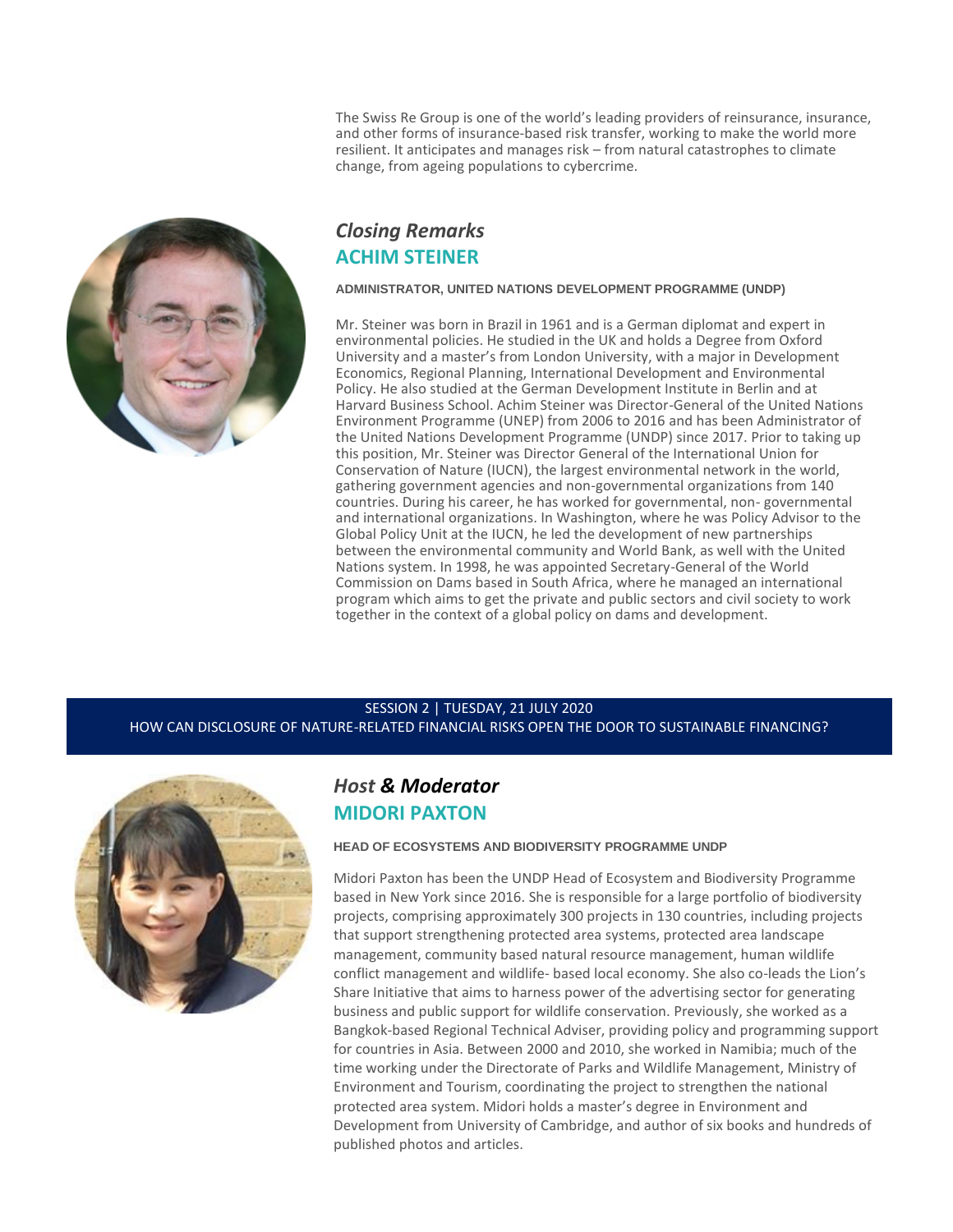The Swiss Re Group is one of the world's leading providers of reinsurance, insurance, and other forms of insurance-based risk transfer, working to make the world more resilient. It anticipates and manages risk – from natural catastrophes to climate change, from ageing populations to cybercrime.



### *Closing Remarks* **ACHIM STEINER**

#### **ADMINISTRATOR, UNITED NATIONS DEVELOPMENT PROGRAMME (UNDP)**

Mr. Steiner was born in Brazil in 1961 and is a German diplomat and expert in environmental policies. He studied in the UK and holds a Degree from Oxford University and a master's from London University, with a major in Development Economics, Regional Planning, International Development and Environmental Policy. He also studied at the German Development Institute in Berlin and at Harvard Business School. Achim Steiner was Director-General of the United Nations Environment Programme (UNEP) from 2006 to 2016 and has been Administrator of the United Nations Development Programme (UNDP) since 2017. Prior to taking up this position, Mr. Steiner was Director General of the International Union for Conservation of Nature (IUCN), the largest environmental network in the world, gathering government agencies and non-governmental organizations from 140 countries. During his career, he has worked for governmental, non- governmental and international organizations. In Washington, where he was Policy Advisor to the Global Policy Unit at the IUCN, he led the development of new partnerships between the environmental community and World Bank, as well with the United Nations system. In 1998, he was appointed Secretary-General of the World Commission on Dams based in South Africa, where he managed an international program which aims to get the private and public sectors and civil society to work together in the context of a global policy on dams and development.

#### SESSION 2 | TUESDAY, 21 JULY 2020

HOW CAN DISCLOSURE OF NATURE-RELATED FINANCIAL RISKS OPEN THE DOOR TO SUSTAINABLE FINANCING?



### *Host & Moderator*  **MIDORI PAXTON**

**HEAD OF ECOSYSTEMS AND BIODIVERSITY PROGRAMME UNDP**

Midori Paxton has been the UNDP Head of Ecosystem and Biodiversity Programme based in New York since 2016. She is responsible for a large portfolio of biodiversity projects, comprising approximately 300 projects in 130 countries, including projects that support strengthening protected area systems, protected area landscape management, community based natural resource management, human wildlife conflict management and wildlife- based local economy. She also co-leads the Lion's Share Initiative that aims to harness power of the advertising sector for generating business and public support for wildlife conservation. Previously, she worked as a Bangkok-based Regional Technical Adviser, providing policy and programming support for countries in Asia. Between 2000 and 2010, she worked in Namibia; much of the time working under the Directorate of Parks and Wildlife Management, Ministry of Environment and Tourism, coordinating the project to strengthen the national protected area system. Midori holds a master's degree in Environment and Development from University of Cambridge, and author of six books and hundreds of published photos and articles.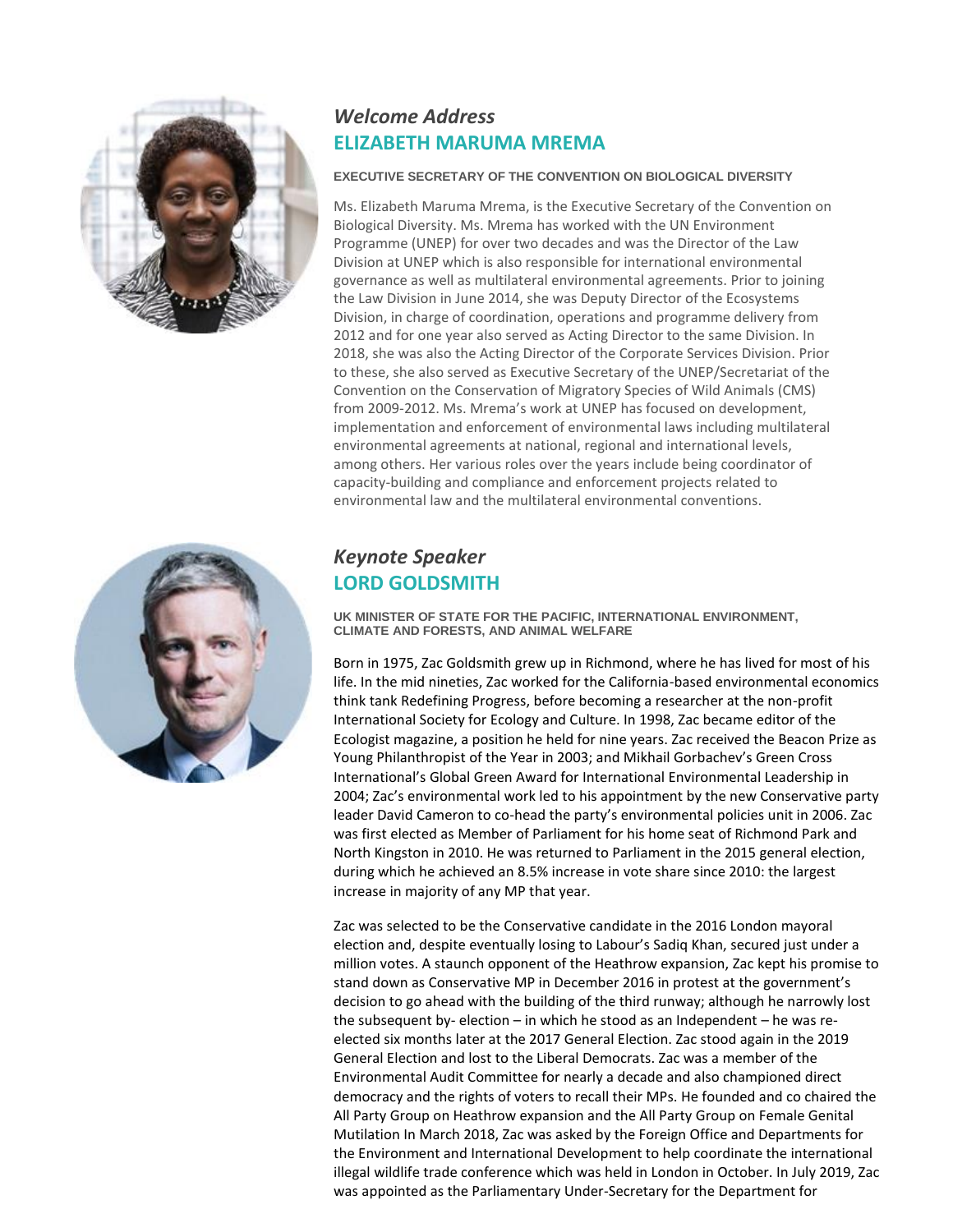



# *Welcome Address* **ELIZABETH MARUMA MREMA**

#### **EXECUTIVE SECRETARY OF THE CONVENTION ON BIOLOGICAL DIVERSITY**

Ms. Elizabeth Maruma Mrema, is the Executive Secretary of the Convention on Biological Diversity. Ms. Mrema has worked with the UN Environment Programme (UNEP) for over two decades and was the Director of the Law Division at UNEP which is also responsible for international environmental governance as well as multilateral environmental agreements. Prior to joining the Law Division in June 2014, she was Deputy Director of the Ecosystems Division, in charge of coordination, operations and programme delivery from 2012 and for one year also served as Acting Director to the same Division. In 2018, she was also the Acting Director of the Corporate Services Division. Prior to these, she also served as Executive Secretary of the UNEP/Secretariat of the Convention on the Conservation of Migratory Species of Wild Animals (CMS) from 2009-2012. Ms. Mrema's work at UNEP has focused on development, implementation and enforcement of environmental laws including multilateral environmental agreements at national, regional and international levels, among others. Her various roles over the years include being coordinator of capacity-building and compliance and enforcement projects related to environmental law and the multilateral environmental conventions.

## *Keynote Speaker* **LORD GOLDSMITH**

**UK MINISTER OF STATE FOR THE PACIFIC, INTERNATIONAL ENVIRONMENT, CLIMATE AND FORESTS, AND ANIMAL WELFARE**

Born in 1975, Zac Goldsmith grew up in Richmond, where he has lived for most of his life. In the mid nineties, Zac worked for the California-based environmental economics think tank Redefining Progress, before becoming a researcher at the non-profit International Society for Ecology and Culture. In 1998, Zac became editor of the Ecologist magazine, a position he held for nine years. Zac received the Beacon Prize as Young Philanthropist of the Year in 2003; and Mikhail Gorbachev's Green Cross International's Global Green Award for International Environmental Leadership in 2004; Zac's environmental work led to his appointment by the new Conservative party leader David Cameron to co-head the party's environmental policies unit in 2006. Zac was first elected as Member of Parliament for his home seat of Richmond Park and North Kingston in 2010. He was returned to Parliament in the 2015 general election, during which he achieved an 8.5% increase in vote share since 2010: the largest increase in majority of any MP that year.

Zac was selected to be the Conservative candidate in the 2016 London mayoral election and, despite eventually losing to Labour's Sadiq Khan, secured just under a million votes. A staunch opponent of the Heathrow expansion, Zac kept his promise to stand down as Conservative MP in December 2016 in protest at the government's decision to go ahead with the building of the third runway; although he narrowly lost the subsequent by- election – in which he stood as an Independent – he was reelected six months later at the 2017 General Election. Zac stood again in the 2019 General Election and lost to the Liberal Democrats. Zac was a member of the Environmental Audit Committee for nearly a decade and also championed direct democracy and the rights of voters to recall their MPs. He founded and co chaired the All Party Group on Heathrow expansion and the All Party Group on Female Genital Mutilation In March 2018, Zac was asked by the Foreign Office and Departments for the Environment and International Development to help coordinate the international illegal wildlife trade conference which was held in London in October. In July 2019, Zac was appointed as the Parliamentary Under-Secretary for the Department for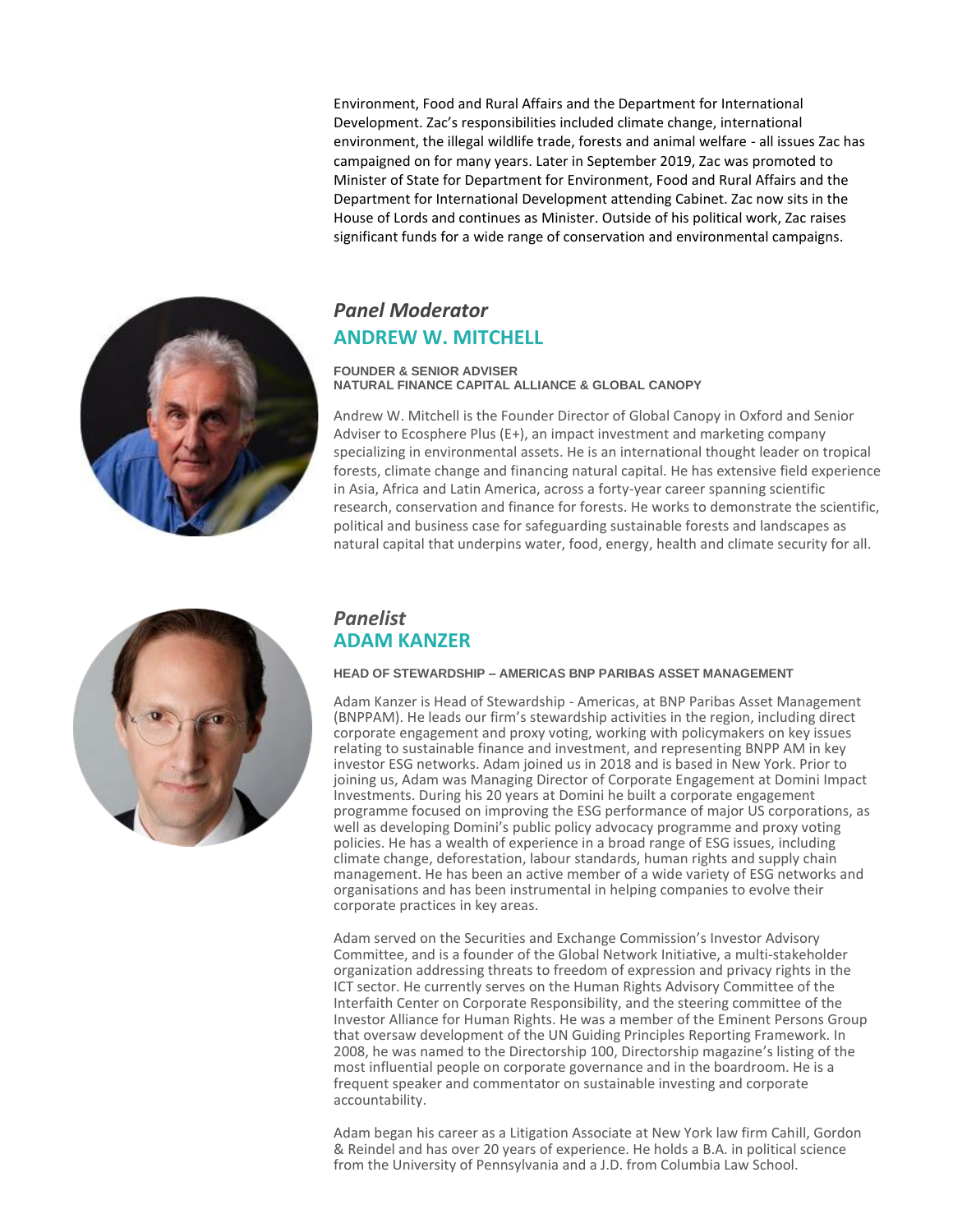Environment, Food and Rural Affairs and the Department for International Development. Zac's responsibilities included climate change, international environment, the illegal wildlife trade, forests and animal welfare - all issues Zac has campaigned on for many years. Later in September 2019, Zac was promoted to Minister of State for Department for Environment, Food and Rural Affairs and the Department for International Development attending Cabinet. Zac now sits in the House of Lords and continues as Minister. Outside of his political work, Zac raises significant funds for a wide range of conservation and environmental campaigns.

## *Panel Moderator*  **ANDREW W. MITCHELL**

#### **FOUNDER & SENIOR ADVISER NATURAL FINANCE CAPITAL ALLIANCE & GLOBAL CANOPY**

Andrew W. Mitchell is the Founder Director of Global Canopy in Oxford and Senior Adviser to Ecosphere Plus (E+), an impact investment and marketing company specializing in environmental assets. He is an international thought leader on tropical forests, climate change and financing natural capital. He has extensive field experience in Asia, Africa and Latin America, across a forty-year career spanning scientific research, conservation and finance for forests. He works to demonstrate the scientific, political and business case for safeguarding sustainable forests and landscapes as natural capital that underpins water, food, energy, health and climate security for all.



### *Panelist* **ADAM KANZER**

#### **HEAD OF STEWARDSHIP – AMERICAS BNP PARIBAS ASSET MANAGEMENT**

Adam Kanzer is Head of Stewardship - Americas, at BNP Paribas Asset Management (BNPPAM). He leads our firm's stewardship activities in the region, including direct corporate engagement and proxy voting, working with policymakers on key issues relating to sustainable finance and investment, and representing BNPP AM in key investor ESG networks. Adam joined us in 2018 and is based in New York. Prior to joining us, Adam was Managing Director of Corporate Engagement at Domini Impact Investments. During his 20 years at Domini he built a corporate engagement programme focused on improving the ESG performance of major US corporations, as well as developing Domini's public policy advocacy programme and proxy voting policies. He has a wealth of experience in a broad range of ESG issues, including climate change, deforestation, labour standards, human rights and supply chain management. He has been an active member of a wide variety of ESG networks and organisations and has been instrumental in helping companies to evolve their corporate practices in key areas.

Adam served on the Securities and Exchange Commission's Investor Advisory Committee, and is a founder of the Global Network Initiative, a multi-stakeholder organization addressing threats to freedom of expression and privacy rights in the ICT sector. He currently serves on the Human Rights Advisory Committee of the Interfaith Center on Corporate Responsibility, and the steering committee of the Investor Alliance for Human Rights. He was a member of the Eminent Persons Group that oversaw development of the UN Guiding Principles Reporting Framework. In 2008, he was named to the Directorship 100, Directorship magazine's listing of the most influential people on corporate governance and in the boardroom. He is a frequent speaker and commentator on sustainable investing and corporate accountability.

Adam began his career as a Litigation Associate at New York law firm Cahill, Gordon & Reindel and has over 20 years of experience. He holds a B.A. in political science from the University of Pennsylvania and a J.D. from Columbia Law School.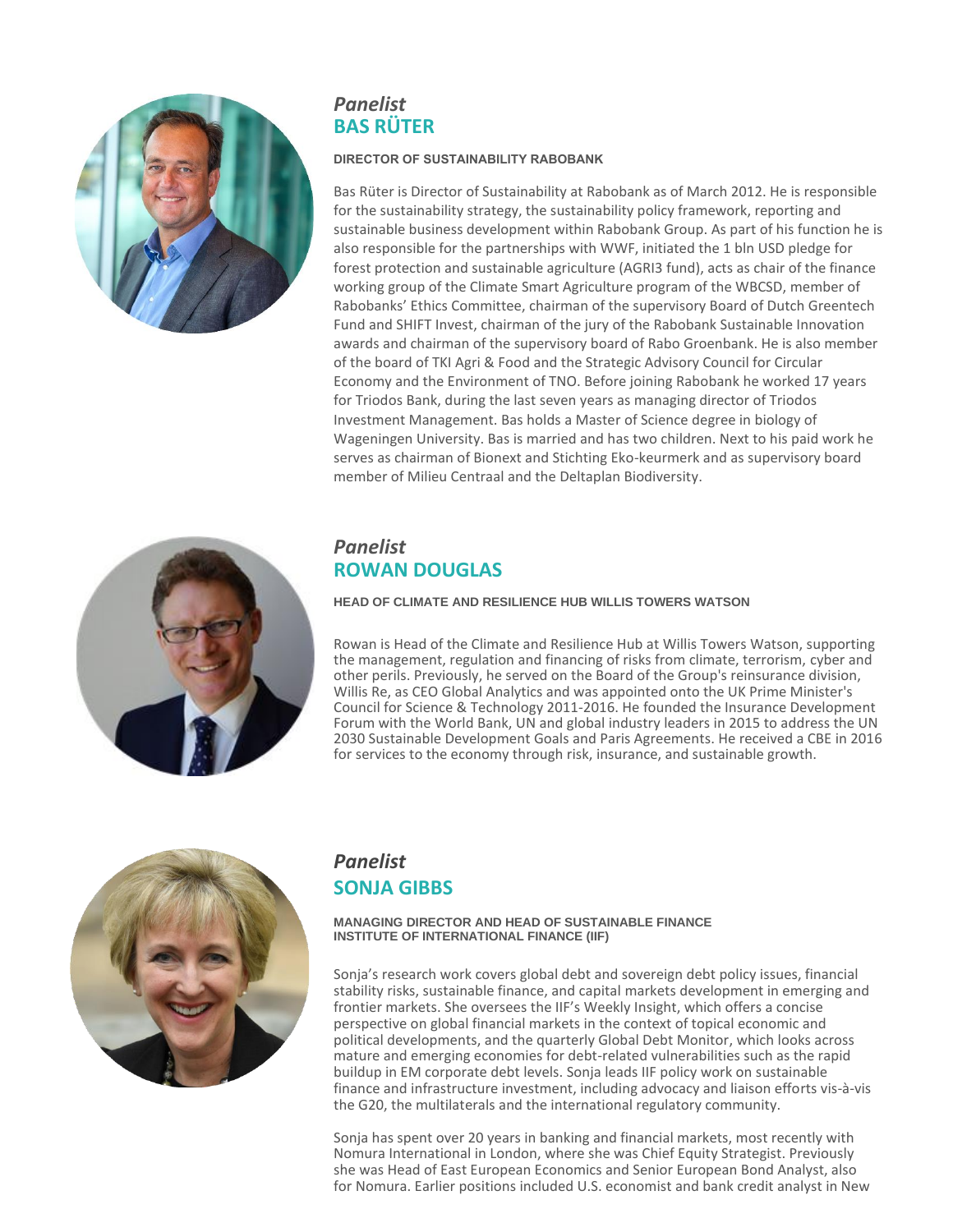

# *Panelist* **BAS RÜTER**

#### **DIRECTOR OF SUSTAINABILITY RABOBANK**

Bas Rüter is Director of Sustainability at Rabobank as of March 2012. He is responsible for the sustainability strategy, the sustainability policy framework, reporting and sustainable business development within Rabobank Group. As part of his function he is also responsible for the partnerships with WWF, initiated the 1 bln USD pledge for forest protection and sustainable agriculture (AGRI3 fund), acts as chair of the finance working group of the Climate Smart Agriculture program of the WBCSD, member of Rabobanks' Ethics Committee, chairman of the supervisory Board of Dutch Greentech Fund and SHIFT Invest, chairman of the jury of the Rabobank Sustainable Innovation awards and chairman of the supervisory board of Rabo Groenbank. He is also member of the board of TKI Agri & Food and the Strategic Advisory Council for Circular Economy and the Environment of TNO. Before joining Rabobank he worked 17 years for Triodos Bank, during the last seven years as managing director of Triodos Investment Management. Bas holds a Master of Science degree in biology of Wageningen University. Bas is married and has two children. Next to his paid work he serves as chairman of Bionext and Stichting Eko-keurmerk and as supervisory board member of Milieu Centraal and the Deltaplan Biodiversity.



### *Panelist*  **ROWAN DOUGLAS**

#### **HEAD OF CLIMATE AND RESILIENCE HUB WILLIS TOWERS WATSON**

Rowan is Head of the Climate and Resilience Hub at Willis Towers Watson, supporting the management, regulation and financing of risks from climate, terrorism, cyber and other perils. Previously, he served on the Board of the Group's reinsurance division, Willis Re, as CEO Global Analytics and was appointed onto the UK Prime Minister's Council for Science & Technology 2011-2016. He founded the Insurance Development Forum with the World Bank, UN and global industry leaders in 2015 to address the UN 2030 Sustainable Development Goals and Paris Agreements. He received a CBE in 2016 for services to the economy through risk, insurance, and sustainable growth.



### *Panelist* **SONJA GIBBS**

#### **MANAGING DIRECTOR AND HEAD OF SUSTAINABLE FINANCE INSTITUTE OF INTERNATIONAL FINANCE (IIF)**

Sonja's research work covers global debt and sovereign debt policy issues, financial stability risks, sustainable finance, and capital markets development in emerging and frontier markets. She oversees the IIF's Weekly Insight, which offers a concise perspective on global financial markets in the context of topical economic and political developments, and the quarterly Global Debt Monitor, which looks across mature and emerging economies for debt-related vulnerabilities such as the rapid buildup in EM corporate debt levels. Sonja leads IIF policy work on sustainable finance and infrastructure investment, including advocacy and liaison efforts vis-à-vis the G20, the multilaterals and the international regulatory community.

Sonja has spent over 20 years in banking and financial markets, most recently with Nomura International in London, where she was Chief Equity Strategist. Previously she was Head of East European Economics and Senior European Bond Analyst, also for Nomura. Earlier positions included U.S. economist and bank credit analyst in New